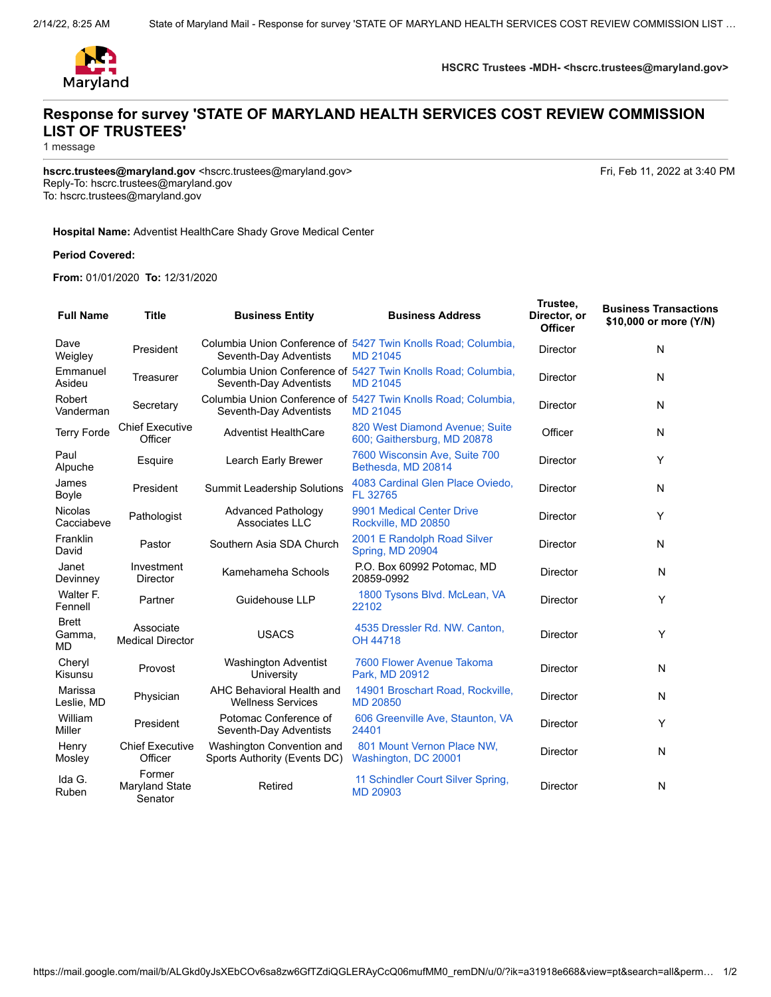

**HSCRC Trustees -MDH- <hscrc.trustees@maryland.gov>**

## **Response for survey 'STATE OF MARYLAND HEALTH SERVICES COST REVIEW COMMISSION LIST OF TRUSTEES'**

1 message

hscrc.trustees@maryland.gov <hscrc.trustees@maryland.gov>
Fri, Feb 11, 2022 at 3:40 PM Reply-To: hscrc.trustees@maryland.gov To: hscrc.trustees@maryland.gov

## **Hospital Name:** Adventist HealthCare Shady Grove Medical Center

## **Period Covered:**

**From:** 01/01/2020 **To:** 12/31/2020

| <b>Full Name</b>             | <b>Title</b>                         | <b>Business Entity</b>                                    | <b>Business Address</b>                                                          | Trustee,<br>Director, or<br><b>Officer</b> | <b>Business Transactions</b><br>\$10,000 or more (Y/N) |
|------------------------------|--------------------------------------|-----------------------------------------------------------|----------------------------------------------------------------------------------|--------------------------------------------|--------------------------------------------------------|
| Dave<br>Weigley              | President                            | Seventh-Day Adventists                                    | Columbia Union Conference of 5427 Twin Knolls Road; Columbia,<br><b>MD 21045</b> | <b>Director</b>                            | N                                                      |
| Emmanuel<br>Asideu           | Treasurer                            | Seventh-Day Adventists                                    | Columbia Union Conference of 5427 Twin Knolls Road; Columbia,<br>MD 21045        | <b>Director</b>                            | N                                                      |
| Robert<br>Vanderman          | Secretary                            | Seventh-Day Adventists                                    | Columbia Union Conference of 5427 Twin Knolls Road; Columbia,<br><b>MD 21045</b> | Director                                   | N                                                      |
| <b>Terry Forde</b>           | <b>Chief Executive</b><br>Officer    | <b>Adventist HealthCare</b>                               | 820 West Diamond Avenue; Suite<br>600; Gaithersburg, MD 20878                    | Officer                                    | N                                                      |
| Paul<br>Alpuche              | Esquire                              | Learch Early Brewer                                       | 7600 Wisconsin Ave, Suite 700<br>Bethesda, MD 20814                              | <b>Director</b>                            | Y                                                      |
| James<br>Boyle               | President                            | <b>Summit Leadership Solutions</b>                        | 4083 Cardinal Glen Place Oviedo,<br>FL 32765                                     | <b>Director</b>                            | N                                                      |
| <b>Nicolas</b><br>Cacciabeve | Pathologist                          | <b>Advanced Pathology</b><br>Associates LLC               | 9901 Medical Center Drive<br>Rockville, MD 20850                                 | <b>Director</b>                            | Y                                                      |
| Franklin<br>David            | Pastor                               | Southern Asia SDA Church                                  | 2001 E Randolph Road Silver<br>Spring, MD 20904                                  | <b>Director</b>                            | N                                                      |
| Janet<br>Devinney            | Investment<br>Director               | Kamehameha Schools                                        | P.O. Box 60992 Potomac, MD<br>20859-0992                                         | Director                                   | N                                                      |
| Walter F.<br>Fennell         | Partner                              | Guidehouse LLP                                            | 1800 Tysons Blvd. McLean, VA<br>22102                                            | <b>Director</b>                            | Y                                                      |
| <b>Brett</b><br>Gamma,<br>MD | Associate<br><b>Medical Director</b> | <b>USACS</b>                                              | 4535 Dressler Rd. NW. Canton,<br>OH 44718                                        | <b>Director</b>                            | Y                                                      |
| Cheryl<br>Kisunsu            | Provost                              | Washington Adventist<br>University                        | 7600 Flower Avenue Takoma<br>Park, MD 20912                                      | <b>Director</b>                            | N                                                      |
| Marissa<br>Leslie, MD        | Physician                            | AHC Behavioral Health and<br><b>Wellness Services</b>     | 14901 Broschart Road, Rockville,<br><b>MD 20850</b>                              | Director                                   | N                                                      |
| William<br><b>Miller</b>     | President                            | Potomac Conference of<br>Seventh-Day Adventists           | 606 Greenville Ave, Staunton, VA<br>24401                                        | <b>Director</b>                            | Y                                                      |
| Henry<br>Mosley              | <b>Chief Executive</b><br>Officer    | Washington Convention and<br>Sports Authority (Events DC) | 801 Mount Vernon Place NW,<br>Washington, DC 20001                               | <b>Director</b>                            | N                                                      |
| Ida G.<br>Ruben              | Former<br>Maryland State<br>Senator  | <b>Retired</b>                                            | 11 Schindler Court Silver Spring,<br><b>MD 20903</b>                             | <b>Director</b>                            | N                                                      |